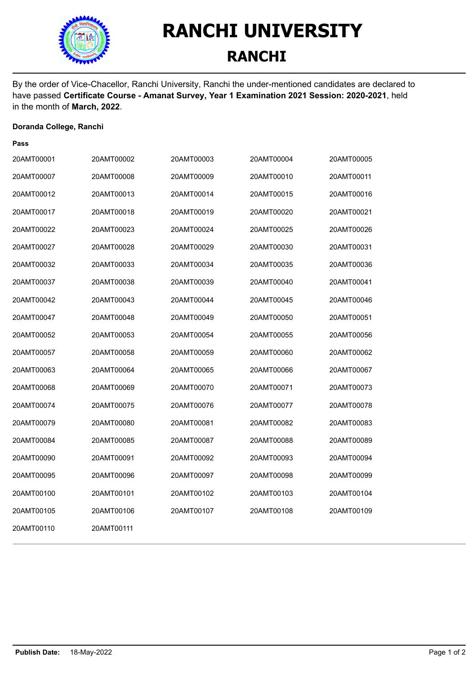

## **RANCHI UNIVERSITY RANCHI**

By the order of Vice-Chacellor, Ranchi University, Ranchi the under-mentioned candidates are declared to have passed **Certificate Course - Amanat Survey, Year 1 Examination 2021 Session: 2020-2021**, held in the month of **March, 2022**.

#### **Doranda College, Ranchi**

#### **Pass**

| 20AMT00001 | 20AMT00002 | 20AMT00003 | 20AMT00004 | 20AMT00005 |
|------------|------------|------------|------------|------------|
| 20AMT00007 | 20AMT00008 | 20AMT00009 | 20AMT00010 | 20AMT00011 |
| 20AMT00012 | 20AMT00013 | 20AMT00014 | 20AMT00015 | 20AMT00016 |
| 20AMT00017 | 20AMT00018 | 20AMT00019 | 20AMT00020 | 20AMT00021 |
| 20AMT00022 | 20AMT00023 | 20AMT00024 | 20AMT00025 | 20AMT00026 |
| 20AMT00027 | 20AMT00028 | 20AMT00029 | 20AMT00030 | 20AMT00031 |
| 20AMT00032 | 20AMT00033 | 20AMT00034 | 20AMT00035 | 20AMT00036 |
| 20AMT00037 | 20AMT00038 | 20AMT00039 | 20AMT00040 | 20AMT00041 |
| 20AMT00042 | 20AMT00043 | 20AMT00044 | 20AMT00045 | 20AMT00046 |
| 20AMT00047 | 20AMT00048 | 20AMT00049 | 20AMT00050 | 20AMT00051 |
| 20AMT00052 | 20AMT00053 | 20AMT00054 | 20AMT00055 | 20AMT00056 |
| 20AMT00057 | 20AMT00058 | 20AMT00059 | 20AMT00060 | 20AMT00062 |
| 20AMT00063 | 20AMT00064 | 20AMT00065 | 20AMT00066 | 20AMT00067 |
| 20AMT00068 | 20AMT00069 | 20AMT00070 | 20AMT00071 | 20AMT00073 |
| 20AMT00074 | 20AMT00075 | 20AMT00076 | 20AMT00077 | 20AMT00078 |
| 20AMT00079 | 20AMT00080 | 20AMT00081 | 20AMT00082 | 20AMT00083 |
| 20AMT00084 | 20AMT00085 | 20AMT00087 | 20AMT00088 | 20AMT00089 |
| 20AMT00090 | 20AMT00091 | 20AMT00092 | 20AMT00093 | 20AMT00094 |
| 20AMT00095 | 20AMT00096 | 20AMT00097 | 20AMT00098 | 20AMT00099 |
| 20AMT00100 | 20AMT00101 | 20AMT00102 | 20AMT00103 | 20AMT00104 |
| 20AMT00105 | 20AMT00106 | 20AMT00107 | 20AMT00108 | 20AMT00109 |
| 20AMT00110 | 20AMT00111 |            |            |            |